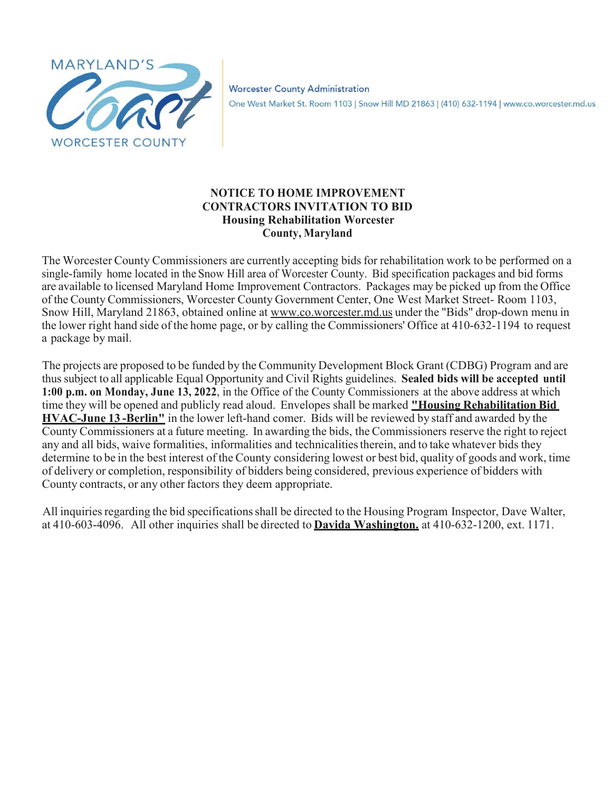

### **NOTICE TO HOME IMPROVEMENT CONTRACTORS INVITATION TO BID Housing Rehabilitation Worcester County, Maryland**

The Worcester County Commissioners are currently accepting bids for rehabilitation work to be performed on a single-family home located in the Snow Hill area of Worcester County. Bid specification packages and bid forms are available to licensed Maryland Home Improvement Contractors. Packages may be picked up from the Office of the County Commissioners, Worcester County Government Center, One West Market Street- Room 1103, Snow Hill, Maryland 21863, obtained online at [www.co.worcester.md.us](http://www.co.worcester.md.us/) under the "Bids" drop-down menu in the lower right hand side of the home page, or by calling the Commissioners' Office at 410-632-1194 to request a package by mail.

The projects are proposed to be funded by the Community Development Block Grant (CDBG) Program and are thussubject to all applicable Equal Opportunity and Civil Rights guidelines. **Sealed bids will be accepted until 1:00 p.m. on Monday, June 13, 2022**, in the Office of the County Commissioners at the above address at which time they will be opened and publicly read aloud. Envelopes shall be marked **"Housing Rehabilitation Bid HVAC-June 13 -Berlin"** in the lower left-hand comer. Bids will be reviewed by staff and awarded by the County Commissioners at a future meeting. In awarding the bids, the Commissioners reserve the right to reject any and all bids, waive formalities, informalities and technicalities therein, and to take whatever bids they determine to be in the best interest of the County considering lowest or best bid, quality of goods and work, time of delivery or completion, responsibility of bidders being considered, previous experience of bidders with County contracts, or any other factors they deem appropriate.

All inquiries regarding the bid specifications shall be directed to the Housing Program Inspector, Dave Walter, at 410-603-4096. All other inquiries shall be directed to **Davida Washington.** at 410-632-1200, ext. 1171.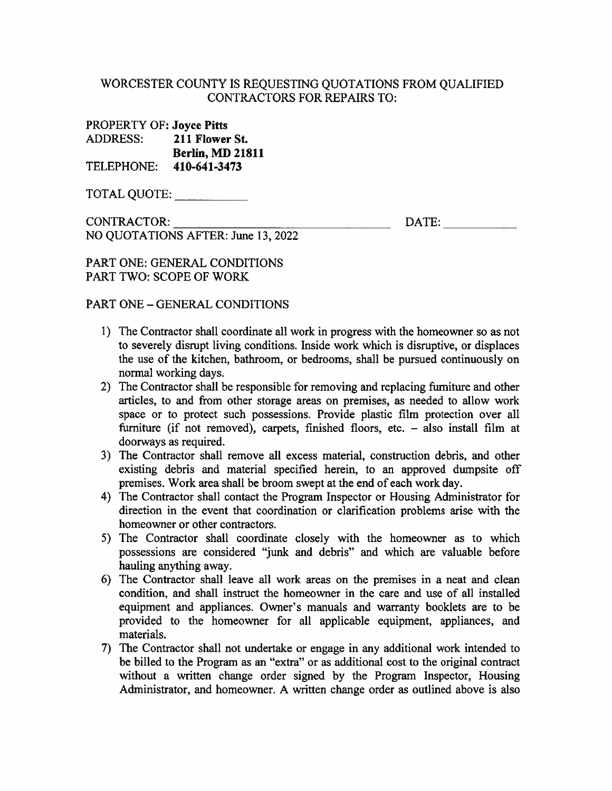### WORCESTER COUNTY IS REQUESTING OUOTATIONS FROM OUALIFIED **CONTRACTORS FOR REPAIRS TO:**

**PROPERTY OF: Joyce Pitts** 211 Flower St. **ADDRESS: Berlin, MD 21811** TELEPHONE: 410-641-3473

CONTRACTOR: NO QUOTATIONS AFTER: June 13, 2022 DATE:

**PART ONE: GENERAL CONDITIONS PART TWO: SCOPE OF WORK** 

**PART ONE - GENERAL CONDITIONS** 

- 1) The Contractor shall coordinate all work in progress with the homeowner so as not to severely disrupt living conditions. Inside work which is disruptive, or displaces the use of the kitchen, bathroom, or bedrooms, shall be pursued continuously on normal working days.
- 2) The Contractor shall be responsible for removing and replacing furniture and other articles, to and from other storage areas on premises, as needed to allow work space or to protect such possessions. Provide plastic film protection over all furniture (if not removed), carpets, finished floors, etc. - also install film at doorways as required.
- 3) The Contractor shall remove all excess material, construction debris, and other existing debris and material specified herein, to an approved dumpsite off premises. Work area shall be broom swept at the end of each work day.
- 4) The Contractor shall contact the Program Inspector or Housing Administrator for direction in the event that coordination or clarification problems arise with the homeowner or other contractors.
- 5) The Contractor shall coordinate closely with the homeowner as to which possessions are considered "junk and debris" and which are valuable before hauling anything away.
- 6) The Contractor shall leave all work areas on the premises in a neat and clean condition, and shall instruct the homeowner in the care and use of all installed equipment and appliances. Owner's manuals and warranty booklets are to be provided to the homeowner for all applicable equipment, appliances, and materials.
- 7) The Contractor shall not undertake or engage in any additional work intended to be billed to the Program as an "extra" or as additional cost to the original contract without a written change order signed by the Program Inspector, Housing Administrator, and homeowner. A written change order as outlined above is also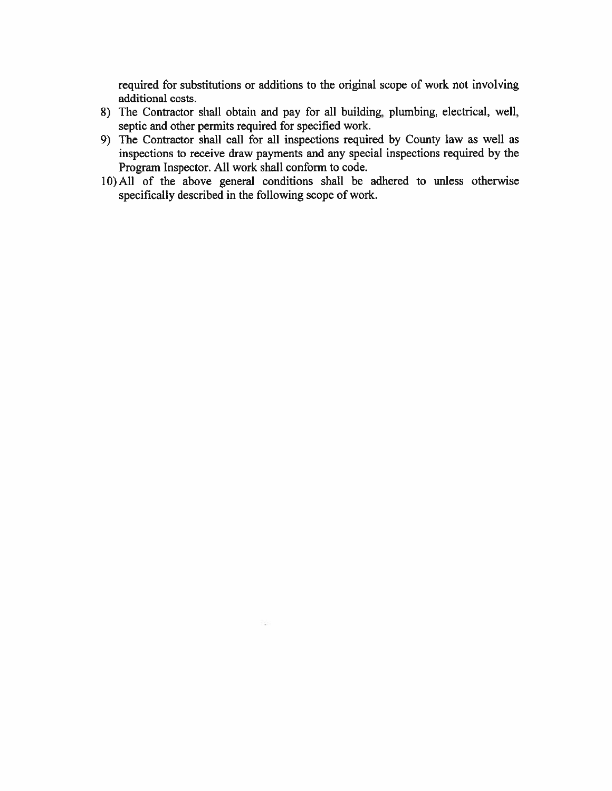required for substitutions or additions to the original scope of work not involving additional costs.

- 8) The Contractor shall obtain and pay for all building, plumbing, electrical, well, septic and other permits required for specified work.
- 9) The Contractor shall call for all inspections required by County law as well as inspections to receive draw payments and any special inspections required by the Program Inspector. All work shall conform to code.
- 10) All of the above general conditions shall be adhered to unless otherwise specifically described in the following scope of work.

526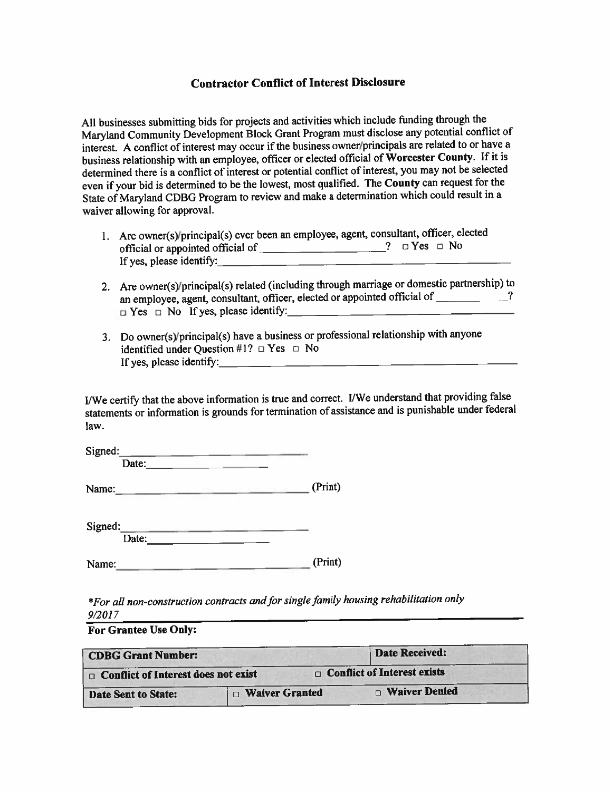#### **Contractor Conflict of Interest Disclosure**

All businesses submitting bids for projects and activities which include funding through the Maryland Community Development Block Grant Program must disclose any potential conflict of interest. A conflict of interest may occur if the business owner/principals are related to or have a business relationship with an employee, officer or elected official of Worcester County. If it is determined there is a conflict of interest or potential conflict of interest, you may not be selected even if your bid is determined to be the lowest, most qualified. The County can request for the State of Maryland CDBG Program to review and make a determination which could result in a waiver allowing for approval.

- 1. Are owner(s)/principal(s) ever been an employee, agent, consultant, officer, elected If yes, please identify:
- 2. Are owner(s)/principal(s) related (including through marriage or domestic partnership) to an employee, agent, consultant, officer, elected or appointed official of \_\_\_\_\_\_\_\_\_\_?  $\Box$  Yes  $\Box$  No If yes, please identify:
- 3. Do owner(s)/principal(s) have a business or professional relationship with anyone identified under Question #1?  $\Box$  Yes  $\Box$  No If yes, please identify:

I/We certify that the above information is true and correct. I/We understand that providing false statements or information is grounds for termination of assistance and is punishable under federal law.

| Signed:          |                 |
|------------------|-----------------|
| Date:            |                 |
| Name:            | (Print)         |
| Signed:<br>Date: |                 |
| Name:            | (Print)<br>---- |

\*For all non-construction contracts and for single family housing rehabilitation only  $9/2017$ 

**For Grantee Use Only:** 

| <b>CDBG Grant Number:</b>                  |                         | <b>Date Received:</b>              |  |
|--------------------------------------------|-------------------------|------------------------------------|--|
| $\Box$ Conflict of Interest does not exist |                         | $\Box$ Conflict of Interest exists |  |
| Date Sent to State:                        | <b>D</b> Waiver Granted | □ Waiver Denied                    |  |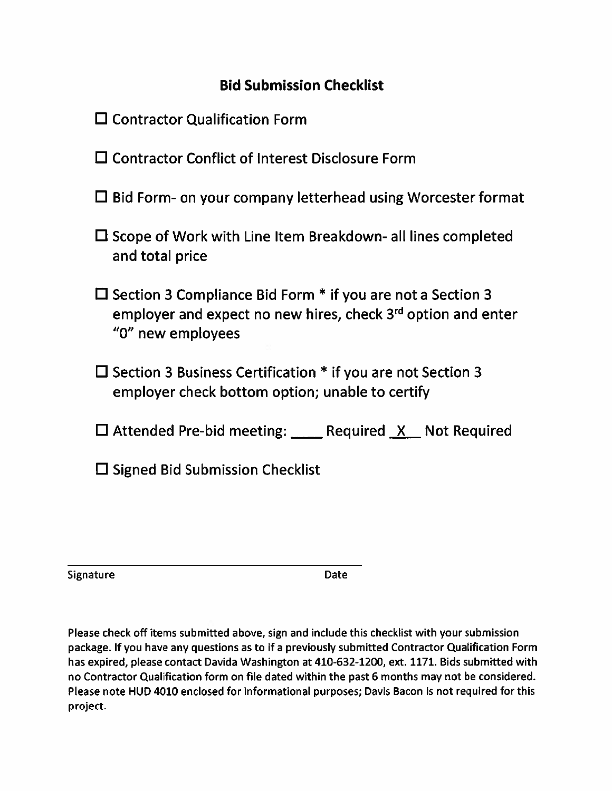# **Bid Submission Checklist**

|  | $\square$ Contractor Qualification Form |  |
|--|-----------------------------------------|--|
|--|-----------------------------------------|--|

- $\square$  Contractor Conflict of Interest Disclosure Form
- $\Box$  Bid Form- on your company letterhead using Worcester format
- $\Box$  Scope of Work with Line Item Breakdown- all lines completed and total price
- $\Box$  Section 3 Compliance Bid Form  $*$  if you are not a Section 3 employer and expect no new hires, check 3<sup>rd</sup> option and enter "0" new employees
- $\Box$  Section 3 Business Certification  $*$  if you are not Section 3 employer check bottom option; unable to certify
- $\Box$  Attended Pre-bid meeting: \_\_\_\_ Required  $X$  Not Required
- $\Box$  Signed Bid Submission Checklist

Signature

Date

Please check off items submitted above, sign and include this checklist with your submission package. If you have any questions as to if a previously submitted Contractor Qualification Form has expired, please contact Davida Washington at 410-632-1200, ext. 1171. Bids submitted with no Contractor Qualification form on file dated within the past 6 months may not be considered. Please note HUD 4010 enclosed for informational purposes; Davis Bacon is not required for this project.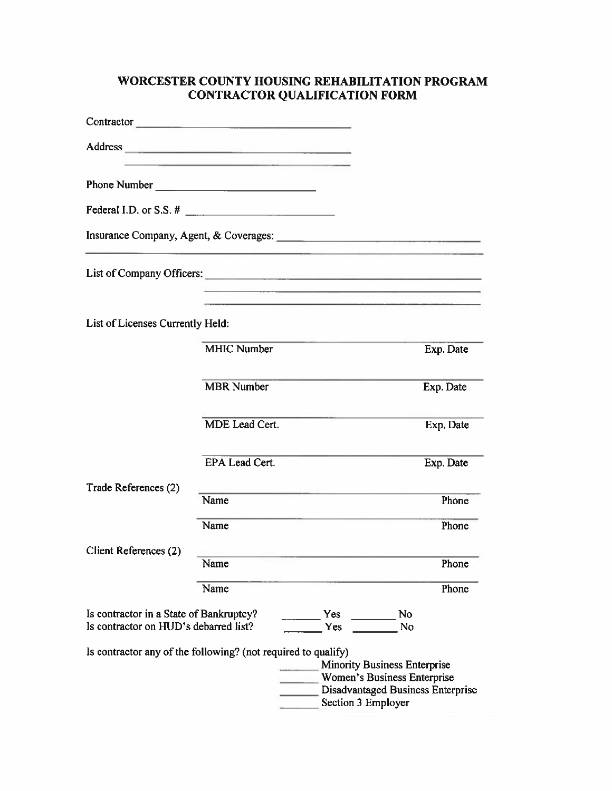## WORCESTER COUNTY HOUSING REHABILITATION PROGRAM **CONTRACTOR QUALIFICATION FORM**

|                                                                                                            | Contractor                                                                                                                                                                                                                     |                                                                                                                                      |           |
|------------------------------------------------------------------------------------------------------------|--------------------------------------------------------------------------------------------------------------------------------------------------------------------------------------------------------------------------------|--------------------------------------------------------------------------------------------------------------------------------------|-----------|
|                                                                                                            | Address and the contract of the contract of the contract of the contract of the contract of the contract of the contract of the contract of the contract of the contract of the contract of the contract of the contract of th |                                                                                                                                      |           |
|                                                                                                            |                                                                                                                                                                                                                                |                                                                                                                                      |           |
|                                                                                                            |                                                                                                                                                                                                                                |                                                                                                                                      |           |
|                                                                                                            |                                                                                                                                                                                                                                |                                                                                                                                      |           |
|                                                                                                            |                                                                                                                                                                                                                                | List of Company Officers:                                                                                                            |           |
|                                                                                                            |                                                                                                                                                                                                                                |                                                                                                                                      |           |
| List of Licenses Currently Held:                                                                           |                                                                                                                                                                                                                                |                                                                                                                                      |           |
|                                                                                                            | <b>MHIC Number</b>                                                                                                                                                                                                             |                                                                                                                                      | Exp. Date |
|                                                                                                            | <b>MBR</b> Number                                                                                                                                                                                                              |                                                                                                                                      | Exp. Date |
|                                                                                                            | MDE Lead Cert.                                                                                                                                                                                                                 |                                                                                                                                      | Exp. Date |
|                                                                                                            | EPA Lead Cert.                                                                                                                                                                                                                 |                                                                                                                                      | Exp. Date |
| Trade References (2)                                                                                       | Name                                                                                                                                                                                                                           |                                                                                                                                      | Phone     |
|                                                                                                            | Name                                                                                                                                                                                                                           |                                                                                                                                      | Phone     |
| Client References (2)                                                                                      | Name                                                                                                                                                                                                                           |                                                                                                                                      | Phone     |
|                                                                                                            | Name                                                                                                                                                                                                                           |                                                                                                                                      | Phone     |
| Is contractor in a State of Bankruptcy?<br>Yes<br>No<br>Yes<br>Is contractor on HUD's debarred list?<br>No |                                                                                                                                                                                                                                |                                                                                                                                      |           |
|                                                                                                            | Is contractor any of the following? (not required to qualify)                                                                                                                                                                  | <b>Minority Business Enterprise</b><br>Women's Business Enterprise<br><b>Disadvantaged Business Enterprise</b><br>Section 3 Employer |           |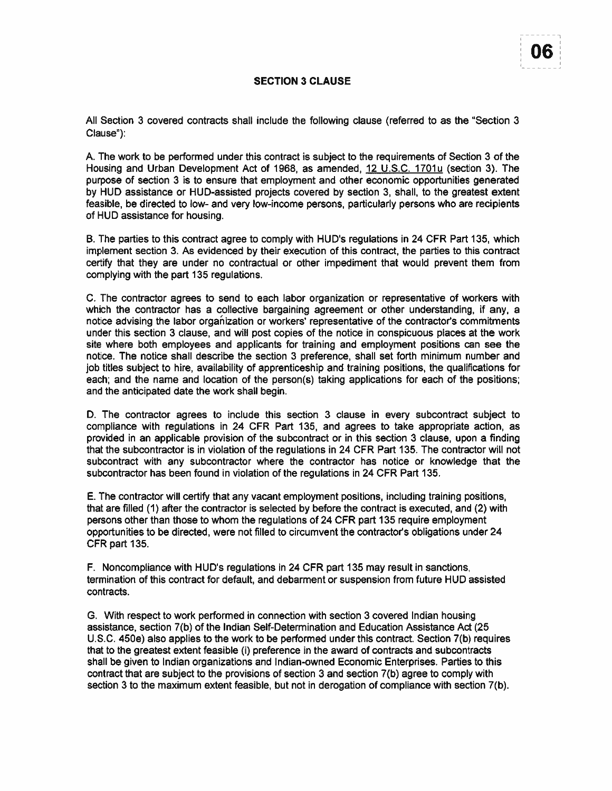#### **SECTION 3 CLAUSE**

All Section 3 covered contracts shall include the following clause (referred to as the "Section 3 Clause"):

A. The work to be performed under this contract is subject to the requirements of Section 3 of the Housing and Urban Development Act of 1968, as amended, 12 U.S.C. 1701u (section 3). The purpose of section 3 is to ensure that employment and other economic opportunities generated by HUD assistance or HUD-assisted projects covered by section 3, shall, to the greatest extent feasible, be directed to low- and very low-income persons, particularly persons who are recipients of HUD assistance for housing.

B. The parties to this contract agree to comply with HUD's regulations in 24 CFR Part 135, which implement section 3. As evidenced by their execution of this contract, the parties to this contract certify that they are under no contractual or other impediment that would prevent them from complying with the part 135 regulations.

C. The contractor agrees to send to each labor organization or representative of workers with which the contractor has a collective bargaining agreement or other understanding, if any, a notice advising the labor organization or workers' representative of the contractor's commitments under this section 3 clause, and will post copies of the notice in conspicuous places at the work site where both employees and applicants for training and employment positions can see the notice. The notice shall describe the section 3 preference, shall set forth minimum number and job titles subject to hire, availability of apprenticeship and training positions, the qualifications for each; and the name and location of the person(s) taking applications for each of the positions; and the anticipated date the work shall begin.

D. The contractor agrees to include this section 3 clause in every subcontract subject to compliance with regulations in 24 CFR Part 135, and agrees to take appropriate action, as provided in an applicable provision of the subcontract or in this section 3 clause, upon a finding that the subcontractor is in violation of the regulations in 24 CFR Part 135. The contractor will not subcontract with any subcontractor where the contractor has notice or knowledge that the subcontractor has been found in violation of the regulations in 24 CFR Part 135.

E. The contractor will certify that any vacant employment positions, including training positions, that are filled (1) after the contractor is selected by before the contract is executed, and (2) with persons other than those to whom the regulations of 24 CFR part 135 require employment opportunities to be directed, were not filled to circumvent the contractor's obligations under 24 CFR part 135.

F. Noncompliance with HUD's regulations in 24 CFR part 135 may result in sanctions, termination of this contract for default, and debarment or suspension from future HUD assisted contracts.

G. With respect to work performed in connection with section 3 covered Indian housing assistance, section 7(b) of the Indian Self-Determination and Education Assistance Act (25 U.S.C. 450e) also applies to the work to be performed under this contract. Section 7(b) requires that to the greatest extent feasible (i) preference in the award of contracts and subcontracts shall be given to Indian organizations and Indian-owned Economic Enterprises. Parties to this contract that are subject to the provisions of section 3 and section 7(b) agree to comply with section 3 to the maximum extent feasible, but not in derogation of compliance with section 7(b).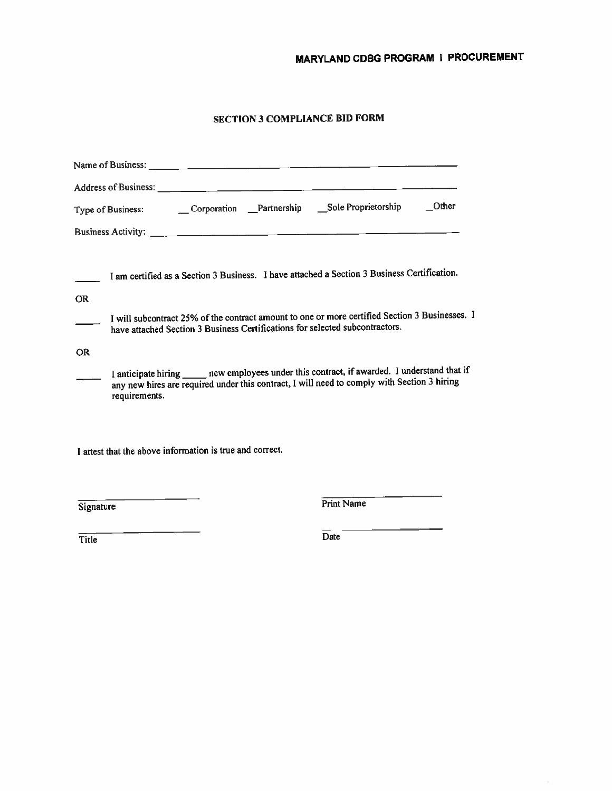# MARYLAND CDBG PROGRAM I PROCUREMENT

## **SECTION 3 COMPLIANCE BID FORM**

|           | Other                                                                                                                                                                                                          |
|-----------|----------------------------------------------------------------------------------------------------------------------------------------------------------------------------------------------------------------|
|           |                                                                                                                                                                                                                |
|           | I am certified as a Section 3 Business. I have attached a Section 3 Business Certification.                                                                                                                    |
| <b>OR</b> |                                                                                                                                                                                                                |
|           | I will subcontract 25% of the contract amount to one or more certified Section 3 Businesses. I<br>have attached Section 3 Business Certifications for selected subcontractors.                                 |
| <b>OR</b> |                                                                                                                                                                                                                |
|           | I anticipate hiring ______ new employees under this contract, if awarded. I understand that if<br>any new hires are required under this contract, I will need to comply with Section 3 hiring<br>requirements. |
|           | I attest that the above information is true and correct.                                                                                                                                                       |
| Signature | <b>Print Name</b>                                                                                                                                                                                              |

 $\overline{Title}$ 

 $\overline{Date}$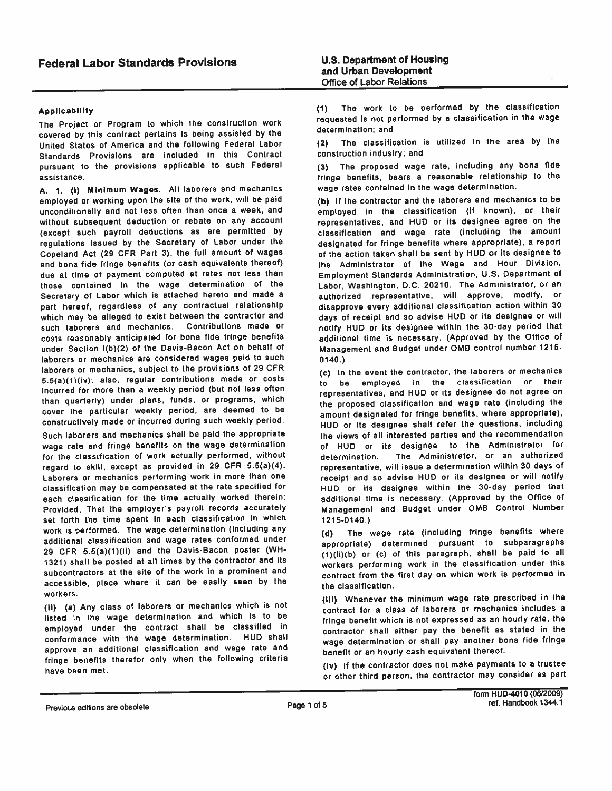#### **Applicability**

The Project or Program to which the construction work covered by this contract pertains is being assisted by the United States of America and the following Federal Labor Standards Provisions are included in this Contract pursuant to the provisions applicable to such Federal assistance.

A. 1. (i) Minimum Wages. All laborers and mechanics employed or working upon the site of the work, will be paid unconditionally and not less often than once a week, and without subsequent deduction or rebate on any account (except such payroll deductions as are permitted by regulations issued by the Secretary of Labor under the Copeland Act (29 CFR Part 3), the full amount of wages and bona fide fringe benefits (or cash equivalents thereof) due at time of payment computed at rates not less than those contained in the wage determination of the Secretary of Labor which is attached hereto and made a part hereof, regardless of any contractual relationship which may be alleged to exist between the contractor and such laborers and mechanics. Contributions made or costs reasonably anticipated for bona fide fringe benefits under Section I(b)(2) of the Davis-Bacon Act on behalf of laborers or mechanics are considered wages paid to such laborers or mechanics, subject to the provisions of 29 CFR 5.5(a)(1)(iv); also, regular contributions made or costs incurred for more than a weekly period (but not less often than quarterly) under plans, funds, or programs, which cover the particular weekly period, are deemed to be constructively made or incurred during such weekly period.

Such laborers and mechanics shall be paid the appropriate wage rate and fringe benefits on the wage determination for the classification of work actually performed, without regard to skill, except as provided in 29 CFR 5.5(a)(4). Laborers or mechanics performing work in more than one classification may be compensated at the rate specified for each classification for the time actually worked therein: Provided, That the employer's payroll records accurately set forth the time spent in each classification in which work is performed. The wage determination (including any additional classification and wage rates conformed under 29 CFR 5.5(a)(1)(ii) and the Davis-Bacon poster (WH-1321) shall be posted at all times by the contractor and its subcontractors at the site of the work in a prominent and accessible, place where it can be easily seen by the workers.

(ii) (a) Any class of laborers or mechanics which is not listed in the wage determination and which is to be employed under the contract shall be classified in conformance with the wage determination. HUD shall approve an additional classification and wage rate and fringe benefits therefor only when the following criteria have been met:

The work to be performed by the classification  $(1)$ requested is not performed by a classification in the wage determination; and

The classification is utilized in the area by the  $(2)$ construction industry; and

(3) The proposed wage rate, including any bona fide fringe benefits, bears a reasonable relationship to the wage rates contained in the wage determination.

(b) If the contractor and the laborers and mechanics to be employed in the classification (if known), or their representatives, and HUD or its designee agree on the classification and wage rate (including the amount designated for fringe benefits where appropriate), a report of the action taken shall be sent by HUD or its designee to the Administrator of the Wage and Hour Division, Employment Standards Administration, U.S. Department of Labor, Washington, D.C. 20210. The Administrator, or an authorized representative, will approve, modify, or disapprove every additional classification action within 30 days of receipt and so advise HUD or its designee or will notify HUD or its designee within the 30-day period that additional time is necessary. (Approved by the Office of Management and Budget under OMB control number 1215- $0140.$ 

(c) In the event the contractor, the laborers or mechanics to be employed in the classification or their representatives, and HUD or its designee do not agree on the proposed classification and wage rate (including the amount designated for fringe benefits, where appropriate), HUD or its designee shall refer the questions, including the views of all interested parties and the recommendation of HUD or its designee, to the Administrator for The Administrator, or an authorized determination. representative, will issue a determination within 30 days of receipt and so advise HUD or its designee or will notify HUD or its designee within the 30-day period that additional time is necessary. (Approved by the Office of Management and Budget under OMB Control Number 1215-0140.)

The wage rate (including fringe benefits where  $(d)$ appropriate) determined pursuant to subparagraphs (1)(ii)(b) or (c) of this paragraph, shall be paid to all workers performing work in the classification under this contract from the first day on which work is performed in the classification.

(III) Whenever the minimum wage rate prescribed in the contract for a class of laborers or mechanics includes a fringe benefit which is not expressed as an hourly rate, the contractor shall either pay the benefit as stated in the wage determination or shall pay another bona fide fringe benefit or an hourly cash equivalent thereof.

(iv) If the contractor does not make payments to a trustee or other third person, the contractor may consider as part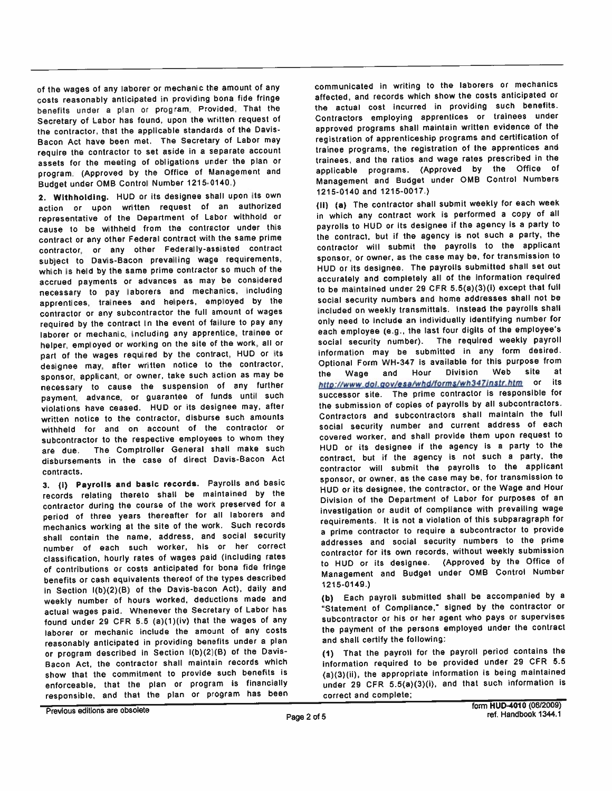of the wages of any laborer or mechanic the amount of any costs reasonably anticipated in providing bona fide fringe benefits under a plan or program, Provided, That the Secretary of Labor has found, upon the written request of the contractor, that the applicable standards of the Davis-Bacon Act have been met. The Secretary of Labor may require the contractor to set aside in a separate account assets for the meeting of obligations under the plan or program: (Approved by the Office of Management and Budget under OMB Control Number 1215-0140.)

2. Withholding. HUD or its designee shall upon its own action or upon written request of an authorized representative of the Department of Labor withhold or cause to be withheld from the contractor under this contract or any other Federal contract with the same prime contractor, or any other Federally-assisted contract subject to Davis-Bacon prevalling wage requirements, which is held by the same prime contractor so much of the accrued payments or advances as may be considered necessary to pay laborers and mechanics, including apprentices, trainees and helpers, employed by the contractor or any subcontractor the full amount of wages required by the contract in the event of failure to pay any laborer or mechanic, including any apprentice, trainee or helper, employed or working on the site of the work, all or part of the wages required by the contract, HUD or its designee may, after written notice to the contractor, sponsor, applicant, or owner, take such action as may be necessary to cause the suspension of any further payment, advance, or guarantee of funds until such violations have ceased. HUD or its designee may, after written notice to the contractor, disburse such amounts withheld for and on account of the contractor or subcontractor to the respective employees to whom they The Comptroller General shall make such are due. disbursements in the case of direct Davis-Bacon Act contracts.

3. (i) Payrolls and basic records. Payrolls and basic records relating thereto shall be maintained by the contractor during the course of the work preserved for a period of three years thereafter for all laborers and mechanics working at the site of the work. Such records shall contain the name, address, and social security number of each such worker, his or her correct classification, hourly rates of wages paid (including rates of contributions or costs anticipated for bona fide fringe benefits or cash equivalents thereof of the types described in Section I(b)(2)(B) of the Davis-bacon Act), daily and weekly number of hours worked, deductions made and actual wages paid. Whenever the Secretary of Labor has found under 29 CFR 5.5 (a)(1)(iv) that the wages of any laborer or mechanic include the amount of any costs reasonably anticipated in providing benefits under a plan or program described in Section I(b)(2)(B) of the Davis-Bacon Act, the contractor shall maintain records which show that the commitment to provide such benefits is enforceable, that the plan or program is financially responsible, and that the plan or program has been communicated in writing to the laborers or mechanics affected, and records which show the costs anticipated or the actual cost incurred in providing such benefits. Contractors employing apprentices or trainees under approved programs shall maintain written evidence of the registration of apprenticeship programs and certification of trainee programs, the registration of the apprentices and trainees, and the ratios and wage rates prescribed in the applicable programs. (Approved by the Office of Management and Budget under OMB Control Numbers 1215-0140 and 1215-0017.)

(ii) (a) The contractor shall submit weekly for each week in which any contract work is performed a copy of all payrolls to HUD or its designee if the agency is a party to the contract, but if the agency is not such a party, the contractor will submit the payrolls to the applicant sponsor, or owner, as the case may be, for transmission to HUD or its designee. The payrolls submitted shall set out accurately and completely all of the information required to be maintained under 29 CFR 5.5(a)(3)(i) except that full social security numbers and home addresses shall not be included on weekly transmittals. Instead the payrolls shall only need to include an individually identifying number for each employee (e.g., the last four digits of the employee's social security number). The required weekly payroll information may be submitted in any form desired. Optional Form WH-347 is available for this purpose from Division Web site at Wage and Hour the http://www.dol.gov/esa/whd/forms/wh347instr.htm or its successor site. The prime contractor is responsible for the submission of copies of payrolls by all subcontractors. Contractors and subcontractors shall maintain the full social security number and current address of each covered worker, and shall provide them upon request to HUD or its designee if the agency is a party to the contract, but if the agency is not such a party, the contractor will submit the payrolls to the applicant sponsor, or owner, as the case may be, for transmission to HUD or its designee, the contractor, or the Wage and Hour Division of the Department of Labor for purposes of an investigation or audit of compliance with prevailing wage requirements. It is not a violation of this subparagraph for a prime contractor to require a subcontractor to provide addresses and social security numbers to the prime contractor for its own records, without weekly submission to HUD or its designee. (Approved by the Office of Management and Budget under OMB Control Number 1215-0149.)

(b) Each payroll submitted shall be accompanied by a "Statement of Compliance," signed by the contractor or subcontractor or his or her agent who pays or supervises the payment of the persons employed under the contract and shall certify the following:

(1) That the payroll for the payroll period contains the information required to be provided under 29 CFR 5.5 (a)(3)(ii), the appropriate information is being maintained under 29 CFR 5.5(a)(3)(i), and that such information is correct and complete;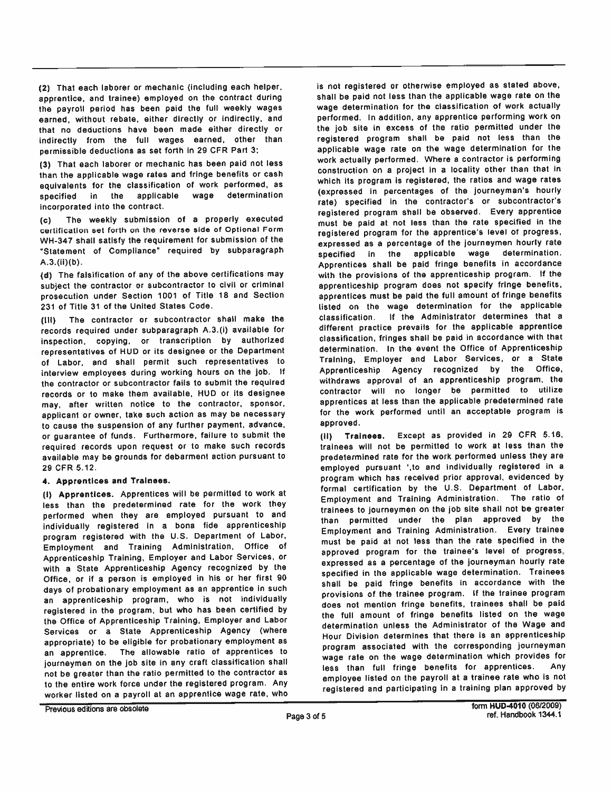(2) That each laborer or mechanic (including each helper, apprentice, and trainee) employed on the contract during the payroll period has been paid the full weekly wages earned, without rebate, either directly or indirectly, and that no deductions have been made either directly or indirectly from the full wages earned, other than permissible deductions as set forth in 29 CFR Part 3;

(3) That each laborer or mechanic has been paid not less than the applicable wage rates and fringe benefits or cash equivalents for the classification of work performed, as determination snecified in the applicable wage incorporated into the contract.

The weekly submission of a properly executed  $(c)$ certification set forth on the reverse side of Optional Form WH-347 shall satisfy the requirement for submission of the "Statement of Compliance" required by subparagraph  $A.3.(ii)(b).$ 

(d) The falsification of any of the above certifications may subject the contractor or subcontractor to civil or criminal prosecution under Section 1001 of Title 18 and Section 231 of Title 31 of the United States Code.

The contractor or subcontractor shall make the  $(111)$ records required under subparagraph A.3.(i) available for inspection, copying, or transcription by authorized representatives of HUD or its designee or the Department of Labor, and shall permit such representatives to interview employees during working hours on the job. If the contractor or subcontractor fails to submit the required records or to make them available, HUD or its designee may, after written notice to the contractor, sponsor, applicant or owner, take such action as may be necessary to cause the suspension of any further payment, advance, or guarantee of funds. Furthermore, failure to submit the required records upon request or to make such records available may be grounds for debarment action pursuant to 29 CFR 5.12.

#### 4. Apprentices and Trainees.

(i) Apprentices. Apprentices will be permitted to work at less than the predetermined rate for the work they performed when they are employed pursuant to and individually registered in a bona fide apprenticeship program registered with the U.S. Department of Labor, Employment and Training Administration, Office of Apprenticeship Training, Employer and Labor Services, or with a State Apprenticeship Agency recognized by the Office, or if a person is employed in his or her first 90 days of probationary employment as an apprentice in such an apprenticeship program, who is not individually registered in the program, but who has been certified by the Office of Apprenticeship Training, Employer and Labor Services or a State Apprenticeship Agency (where appropriate) to be eligible for probationary employment as an apprentice. The allowable ratio of apprentices to journeymen on the job site in any craft classification shall not be greater than the ratio permitted to the contractor as to the entire work force under the registered program. Any worker listed on a payroll at an apprentice wage rate, who is not registered or otherwise employed as stated above, shall be paid not less than the applicable wage rate on the wage determination for the classification of work actually performed. In addition, any apprentice performing work on the job site in excess of the ratio permitted under the registered program shall be paid not less than the applicable wage rate on the wage determination for the work actually performed. Where a contractor is performing construction on a project in a locality other than that in which its program is registered, the ratios and wage rates (expressed in percentages of the journeyman's hourly rate) specified in the contractor's or subcontractor's registered program shall be observed. Every apprentice must be paid at not less than the rate specified in the registered program for the apprentice's level of progress, expressed as a percentage of the journeymen hourly rate specified in the applicable wage determination. Apprentices shall be paid fringe benefits in accordance with the provisions of the apprenticeship program. If the apprenticeship program does not specify fringe benefits, apprentices must be paid the full amount of fringe benefits listed on the wage determination for the applicable if the Administrator determines that a classification. different practice prevails for the applicable apprentice classification, fringes shall be paid in accordance with that determination. In the event the Office of Apprenticeship Training, Employer and Labor Services, or a State Apprenticeship Agency recognized by the Office, withdraws approval of an apprenticeship program, the contractor will no longer be permitted to utilize apprentices at less than the applicable predetermined rate for the work performed until an acceptable program is approved.

(ii) Trainees. Except as provided in 29 CFR 5.16, trainees will not be permitted to work at less than the predetermined rate for the work performed unless they are employed pursuant ', to and individually registered in a program which has received prior approval, evidenced by formal certification by the U.S. Department of Labor, Employment and Training Administration. The ratio of trainees to journeymen on the job site shall not be greater than permitted under the plan approved by the Employment and Training Administration. Every trainee must be paid at not less than the rate specified in the approved program for the trainee's level of progress, expressed as a percentage of the journeyman hourly rate specified in the applicable wage determination. Trainees shall be paid fringe benefits in accordance with the provisions of the trainee program. If the trainee program does not mention fringe benefits, trainees shall be paid the full amount of fringe benefits listed on the wage determination unless the Administrator of the Wage and Hour Division determines that there is an apprenticeship program associated with the corresponding journeyman wage rate on the wage determination which provides for less than full fringe benefits for apprentices. Any employee listed on the payroll at a trainee rate who is not registered and participating in a training plan approved by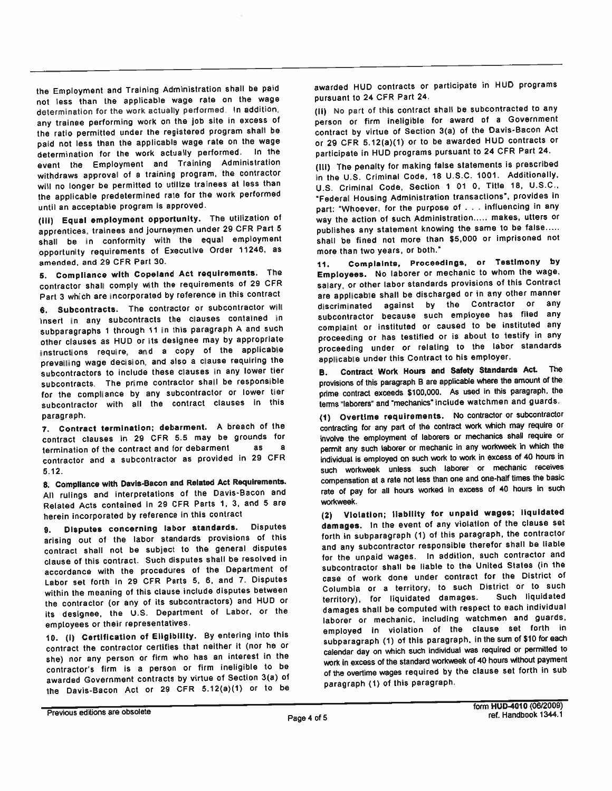the Employment and Training Administration shall be paid not less than the applicable wage rate on the wage determination for the work actually performed. In addition, any trainee performing work on the job site in excess of the ratio permitted under the registered program shall be paid not less than the applicable wage rate on the wage determination for the work actually performed. In the event the Employment and Training Administration withdraws approval of a training program, the contractor will no longer be permitted to utilize trainees at less than the applicable predetermined rate for the work performed until an acceptable program is approved.

(iii) Equal employment opportunity. The utilization of apprentices, trainees and journeymen under 29 CFR Part 5 shall be in conformity with the equal employment opportunity requirements of Executive Order 11246, as amended, and 29 CFR Part 30.

5. Compliance with Copeland Act requirements. The contractor shall comply with the requirements of 29 CFR Part 3 which are incorporated by reference in this contract

6. Subcontracts. The contractor or subcontractor will insert in any subcontracts the clauses contained in subparagraphs 1 through 11 in this paragraph A and such other clauses as HUD or its designee may by appropriate instructions require, and a copy of the applicable prevailing wage decision, and also a clause requiring the subcontractors to include these clauses in any lower tier subcontracts. The prime contractor shall be responsible for the compliance by any subcontractor or lower tier subcontractor with all the contract clauses in this paragraph.

7. Contract termination; debarment. A breach of the contract clauses in 29 CFR 5.5 may be grounds for termination of the contract and for debarment as  $\mathbf{a}$ contractor and a subcontractor as provided in 29 CFR  $5.12.$ 

8. Compliance with Davis-Bacon and Related Act Requirements. All rulings and interpretations of the Davis-Bacon and Related Acts contained in 29 CFR Parts 1, 3, and 5 are herein incorporated by reference in this contract

Disputes concerning labor standards. Disputes  $9.$ arising out of the labor standards provisions of this contract shall not be subject to the general disputes clause of this contract. Such disputes shall be resolved in accordance with the procedures of the Department of Labor set forth in 29 CFR Parts 5, 6, and 7. Disputes within the meaning of this clause include disputes between the contractor (or any of its subcontractors) and HUD or its designee, the U.S. Department of Labor, or the employees or their representatives.

10. (i) Certification of Eligibility. By entering into this contract the contractor certifies that neither it (nor he or she) nor any person or firm who has an interest in the contractor's firm is a person or firm ineligible to be awarded Government contracts by virtue of Section 3(a) of the Davis-Bacon Act or 29 CFR 5.12(a)(1) or to be

awarded HUD contracts or participate in HUD programs pursuant to 24 CFR Part 24.

(ii) No part of this contract shall be subcontracted to any person or firm ineligible for award of a Government contract by virtue of Section 3(a) of the Davis-Bacon Act or 29 CFR 5.12(a)(1) or to be awarded HUD contracts or participate in HUD programs pursuant to 24 CFR Part 24.

(III) The penalty for making false statements is prescribed in the U.S. Criminal Code, 18 U.S.C. 1001. Additionally, U.S. Criminal Code, Section 1 01 0, Title 18, U.S.C., "Federal Housing Administration transactions", provides in part: "Whoever, for the purpose of . . . influencing in any way the action of such Administration..... makes, utters or publishes any statement knowing the same to be false..... shall be fined not more than \$5,000 or imprisoned not more than two years, or both."

Complaints, Proceedings, or Testimony by  $11.$ Employees. No laborer or mechanic to whom the wage, salary, or other labor standards provisions of this Contract are applicable shall be discharged or in any other manner discriminated against by the Contractor or any subcontractor because such employee has filed any complaint or instituted or caused to be instituted any proceeding or has testified or is about to testify in any proceeding under or relating to the labor standards applicable under this Contract to his employer.

Contract Work Hours and Safety Standards Act. The **B.** provisions of this paragraph B are applicable where the amount of the prime contract exceeds \$100,000. As used in this paragraph, the terms "laborers" and "mechanics" include watchmen and guards.

(1) Overtime requirements. No contractor or subcontractor contracting for any part of the contract work which may require or involve the employment of laborers or mechanics shall require or permit any such laborer or mechanic in any workweek in which the individual is employed on such work to work in excess of 40 hours in such workweek unless such laborer or mechanic receives compensation at a rate not less than one and one-half times the basic rate of pay for all hours worked in excess of 40 hours in such workweek.

(2) Violation; liability for unpaid wages; liquidated damages. In the event of any violation of the clause set forth in subparagraph (1) of this paragraph, the contractor and any subcontractor responsible therefor shall be liable for the unpaid wages. In addition, such contractor and subcontractor shall be liable to the United States (in the case of work done under contract for the District of Columbia or a territory, to such District or to such territory), for liquidated damages. Such liquidated damages shall be computed with respect to each individual laborer or mechanic, including watchmen and guards, employed in violation of the clause set forth in subparagraph (1) of this paragraph, in the sum of \$10 for each calendar day on which such individual was required or permitted to work in excess of the standard workweek of 40 hours without payment of the overtime wages required by the clause set forth in sub paragraph (1) of this paragraph.

Previous editions are obsolete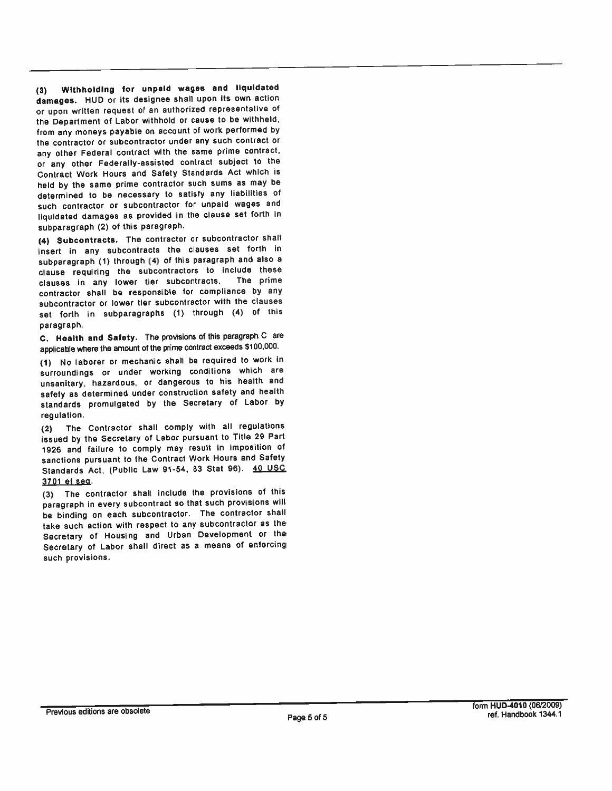(3) Withholding for unpaid wages and liquidated damages. HUD or its designee shall upon its own action or upon written request of an authorized representative of the Department of Labor withhold or cause to be withheld, from any moneys payable on account of work performed by the contractor or subcontractor under any such contract or any other Federal contract with the same prime contract, or any other Federally-assisted contract subject to the Contract Work Hours and Safety Standards Act which is held by the same prime contractor such sums as may be determined to be necessary to satisfy any liabilities of such contractor or subcontractor for unpaid wages and liquidated damages as provided in the clause set forth in subparagraph (2) of this paragraph.

(4) Subcontracts. The contractor or subcontractor shall insert in any subcontracts the clauses set forth in subparagraph (1) through (4) of this paragraph and also a clause requiring the subcontractors to include these The prime clauses in any lower tier subcontracts. contractor shall be responsible for compliance by any subcontractor or lower tier subcontractor with the clauses set forth in subparagraphs (1) through (4) of this paragraph.

C. Health and Safety. The provisions of this paragraph C are applicable where the amount of the prime contract exceeds \$100,000.

(1) No laborer or mechanic shall be required to work in surroundings or under working conditions which are unsanitary, hazardous, or dangerous to his health and safety as determined under construction safety and health standards promulgated by the Secretary of Labor by regulation.

The Contractor shall comply with all regulations  $(2)$ issued by the Secretary of Labor pursuant to Title 29 Part 1926 and failure to comply may result in imposition of sanctions pursuant to the Contract Work Hours and Safety Standards Act, (Public Law 91-54, 83 Stat 96). 40 USC 3701 et seq.

(3) The contractor shall include the provisions of this paragraph in every subcontract so that such provisions will be binding on each subcontractor. The contractor shall take such action with respect to any subcontractor as the Secretary of Housing and Urban Development or the Secretary of Labor shall direct as a means of enforcing such provisions.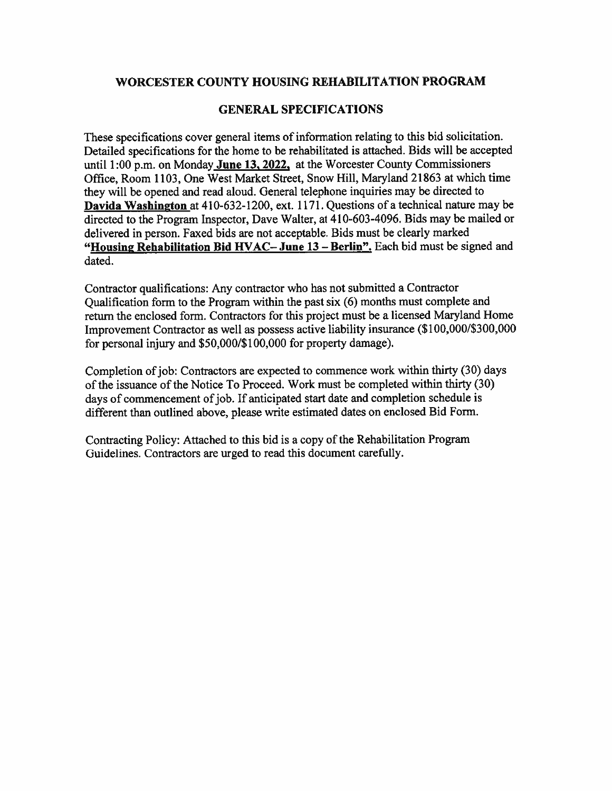### WORCESTER COUNTY HOUSING REHABILITATION PROGRAM

### **GENERAL SPECIFICATIONS**

These specifications cover general items of information relating to this bid solicitation. Detailed specifications for the home to be rehabilitated is attached. Bids will be accepted until 1:00 p.m. on Monday June 13, 2022, at the Worcester County Commissioners Office, Room 1103, One West Market Street, Snow Hill, Maryland 21863 at which time they will be opened and read aloud. General telephone inquiries may be directed to Davida Washington at 410-632-1200, ext. 1171. Questions of a technical nature may be directed to the Program Inspector, Dave Walter, at 410-603-4096. Bids may be mailed or delivered in person. Faxed bids are not acceptable. Bids must be clearly marked "Housing Rehabilitation Bid HVAC-June 13 – Berlin". Each bid must be signed and dated.

Contractor qualifications: Any contractor who has not submitted a Contractor Qualification form to the Program within the past six (6) months must complete and return the enclosed form. Contractors for this project must be a licensed Maryland Home Improvement Contractor as well as possess active liability insurance (\$100,000/\$300,000 for personal injury and \$50,000/\$100,000 for property damage).

Completion of job: Contractors are expected to commence work within thirty (30) days of the issuance of the Notice To Proceed. Work must be completed within thirty (30) days of commencement of job. If anticipated start date and completion schedule is different than outlined above, please write estimated dates on enclosed Bid Form.

Contracting Policy: Attached to this bid is a copy of the Rehabilitation Program Guidelines. Contractors are urged to read this document carefully.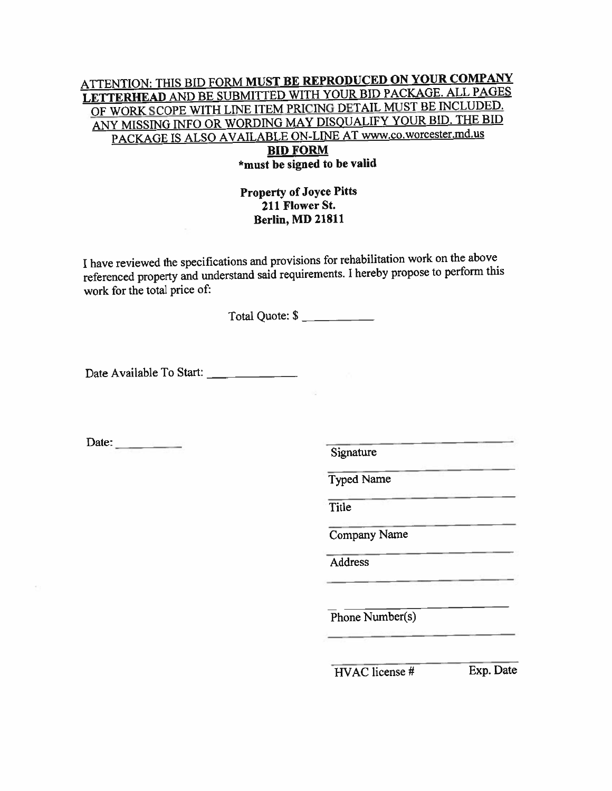### **ATTENTION: THIS BID FORM MUST BE REPRODUCED ON YOUR COMPANY** LETTERHEAD AND BE SUBMITTED WITH YOUR BID PACKAGE. ALL PAGES OF WORK SCOPE WITH LINE ITEM PRICING DETAIL MUST BE INCLUDED. ANY MISSING INFO OR WORDING MAY DISQUALIFY YOUR BID. THE BID PACKAGE IS ALSO AVAILABLE ON-LINE AT www.co.worcester.md.us **BID FORM**

## \*must be signed to be valid

### **Property of Joyce Pitts** 211 Flower St. **Berlin, MD 21811**

I have reviewed the specifications and provisions for rehabilitation work on the above referenced property and understand said requirements. I hereby propose to perform this work for the total price of:

Total Quote: \$

Date Available To Start: \_\_\_\_\_\_\_\_\_\_\_\_\_\_\_

Date:  $\qquad \qquad$ 

Signature

**Typed Name** 

Title

Company Name

Address

 $Phone$  Number(s)

 $HVAC$  license  $#$ 

Exp. Date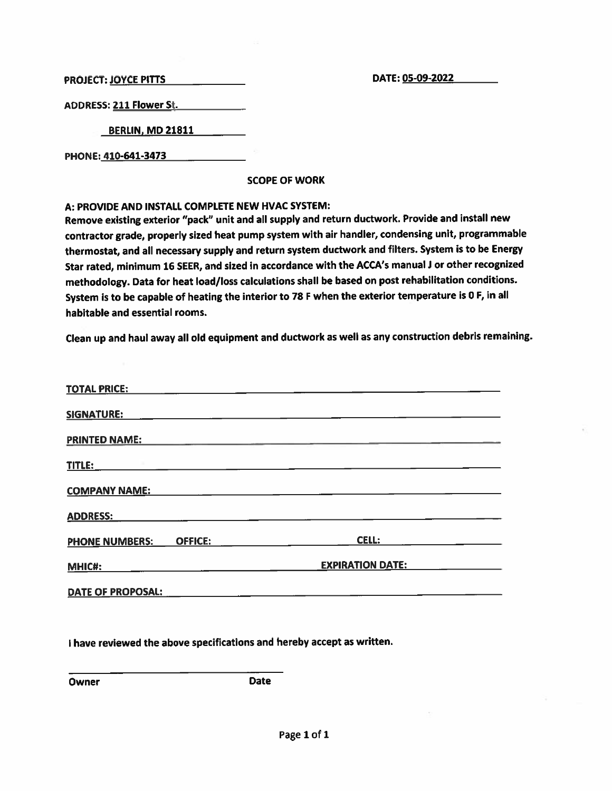DATE: 05-09-2022

PROJECT: JOYCE PITTS

**ADDRESS: 211 Flower St.** 

**BERLIN, MD 21811** 

PHONE: 410-641-3473

**SCOPE OF WORK** 

A: PROVIDE AND INSTALL COMPLETE NEW HVAC SYSTEM:

Remove existing exterior "pack" unit and all supply and return ductwork. Provide and install new contractor grade, properly sized heat pump system with air handler, condensing unit, programmable thermostat, and all necessary supply and return system ductwork and filters. System is to be Energy Star rated, minimum 16 SEER, and sized in accordance with the ACCA's manual J or other recognized methodology. Data for heat load/loss calculations shall be based on post rehabilitation conditions. System is to be capable of heating the interior to 78 F when the exterior temperature is 0 F, in all habitable and essential rooms.

Clean up and haul away all old equipment and ductwork as well as any construction debris remaining.

| <b>TOTAL PRICE:</b>                     |                         |
|-----------------------------------------|-------------------------|
| <b>SIGNATURE:</b>                       |                         |
| <b>PRINTED NAME:</b>                    |                         |
| <b>TITLE:</b>                           |                         |
| <b>COMPANY NAME:</b>                    |                         |
| <b>ADDRESS:</b>                         |                         |
| <b>OFFICE:</b><br><b>PHONE NUMBERS:</b> | <b>CELL:</b>            |
| <b>MHIC#:</b>                           | <b>EXPIRATION DATE:</b> |
| DATE OF PROPOSAL:                       |                         |

I have reviewed the above specifications and hereby accept as written.

Owner

**Date**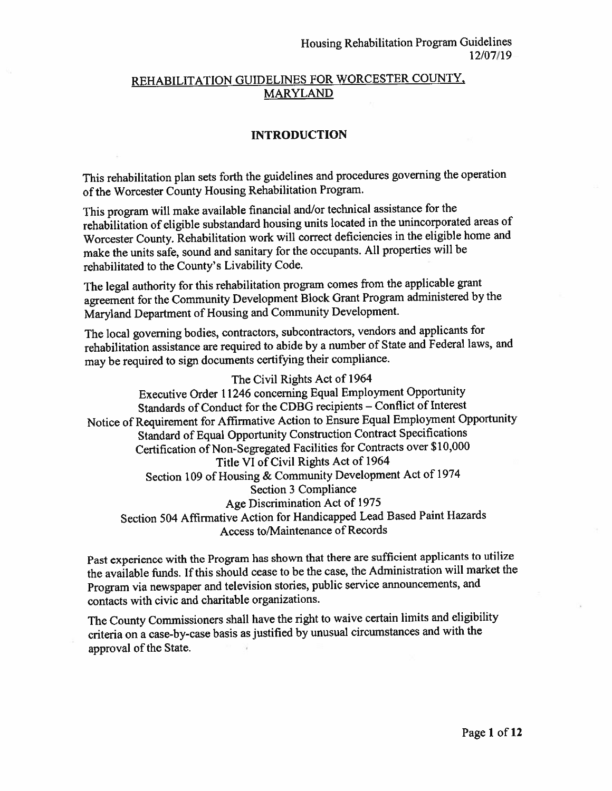### REHABILITATION GUIDELINES FOR WORCESTER COUNTY, **MARYLAND**

#### **INTRODUCTION**

This rehabilitation plan sets forth the guidelines and procedures governing the operation of the Worcester County Housing Rehabilitation Program.

This program will make available financial and/or technical assistance for the rehabilitation of eligible substandard housing units located in the unincorporated areas of Worcester County. Rehabilitation work will correct deficiencies in the eligible home and make the units safe, sound and sanitary for the occupants. All properties will be rehabilitated to the County's Livability Code.

The legal authority for this rehabilitation program comes from the applicable grant agreement for the Community Development Block Grant Program administered by the Maryland Department of Housing and Community Development.

The local governing bodies, contractors, subcontractors, vendors and applicants for rehabilitation assistance are required to abide by a number of State and Federal laws, and may be required to sign documents certifying their compliance.

The Civil Rights Act of 1964

Executive Order 11246 concerning Equal Employment Opportunity Standards of Conduct for the CDBG recipients - Conflict of Interest Notice of Requirement for Affirmative Action to Ensure Equal Employment Opportunity Standard of Equal Opportunity Construction Contract Specifications Certification of Non-Segregated Facilities for Contracts over \$10,000 Title VI of Civil Rights Act of 1964 Section 109 of Housing & Community Development Act of 1974 Section 3 Compliance Age Discrimination Act of 1975 Section 504 Affirmative Action for Handicapped Lead Based Paint Hazards Access to/Maintenance of Records

Past experience with the Program has shown that there are sufficient applicants to utilize the available funds. If this should cease to be the case, the Administration will market the Program via newspaper and television stories, public service announcements, and contacts with civic and charitable organizations.

The County Commissioners shall have the right to waive certain limits and eligibility criteria on a case-by-case basis as justified by unusual circumstances and with the approval of the State.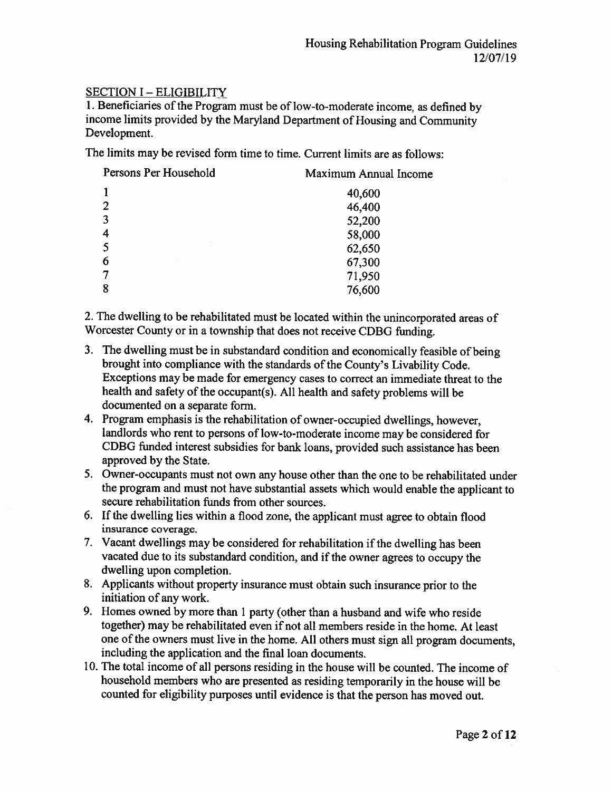### **SECTION I - ELIGIBILITY**

1. Beneficiaries of the Program must be of low-to-moderate income, as defined by income limits provided by the Maryland Department of Housing and Community Development.

The limits may be revised form time to time. Current limits are as follows:

| Persons Per Household | Maximum Annual Income |
|-----------------------|-----------------------|
|                       | 40,600                |
| 2                     | 46,400                |
| 3                     | 52,200                |
| 4                     | 58,000                |
|                       | 62,650                |
| 가<br>6                | 67,300                |
|                       | 71,950                |
| 8                     | 76,600                |

2. The dwelling to be rehabilitated must be located within the unincorporated areas of Worcester County or in a township that does not receive CDBG funding.

- 3. The dwelling must be in substandard condition and economically feasible of being brought into compliance with the standards of the County's Livability Code. Exceptions may be made for emergency cases to correct an immediate threat to the health and safety of the occupant(s). All health and safety problems will be documented on a separate form.
- 4. Program emphasis is the rehabilitation of owner-occupied dwellings, however, landlords who rent to persons of low-to-moderate income may be considered for CDBG funded interest subsidies for bank loans, provided such assistance has been approved by the State.
- 5. Owner-occupants must not own any house other than the one to be rehabilitated under the program and must not have substantial assets which would enable the applicant to secure rehabilitation funds from other sources.
- 6. If the dwelling lies within a flood zone, the applicant must agree to obtain flood insurance coverage.
- 7. Vacant dwellings may be considered for rehabilitation if the dwelling has been vacated due to its substandard condition, and if the owner agrees to occupy the dwelling upon completion.
- 8. Applicants without property insurance must obtain such insurance prior to the initiation of any work.
- 9. Homes owned by more than 1 party (other than a husband and wife who reside together) may be rehabilitated even if not all members reside in the home. At least one of the owners must live in the home. All others must sign all program documents. including the application and the final loan documents.
- 10. The total income of all persons residing in the house will be counted. The income of household members who are presented as residing temporarily in the house will be counted for eligibility purposes until evidence is that the person has moved out.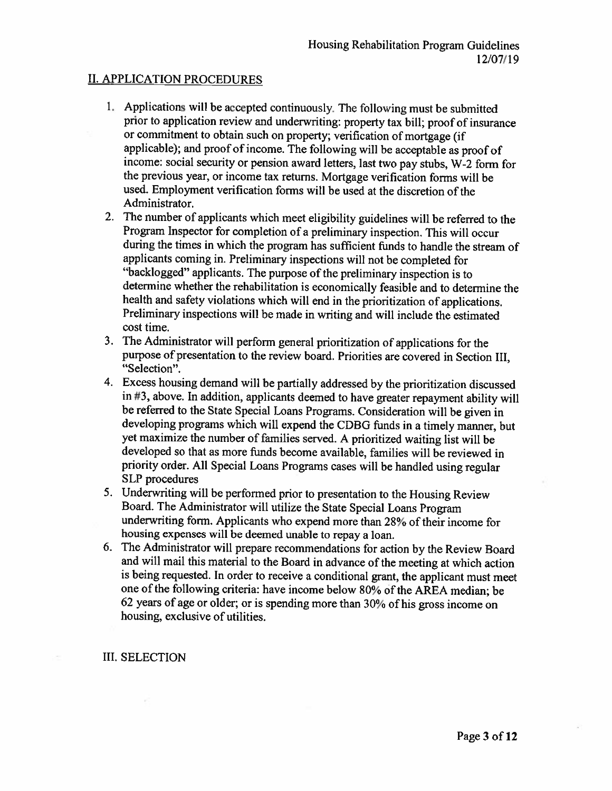#### **II. APPLICATION PROCEDURES**

- 1. Applications will be accepted continuously. The following must be submitted prior to application review and underwriting: property tax bill; proof of insurance or commitment to obtain such on property; verification of mortgage (if applicable); and proof of income. The following will be acceptable as proof of income: social security or pension award letters, last two pay stubs, W-2 form for the previous year, or income tax returns. Mortgage verification forms will be used. Employment verification forms will be used at the discretion of the Administrator.
- 2. The number of applicants which meet eligibility guidelines will be referred to the Program Inspector for completion of a preliminary inspection. This will occur during the times in which the program has sufficient funds to handle the stream of applicants coming in. Preliminary inspections will not be completed for "backlogged" applicants. The purpose of the preliminary inspection is to determine whether the rehabilitation is economically feasible and to determine the health and safety violations which will end in the prioritization of applications. Preliminary inspections will be made in writing and will include the estimated cost time.
- 3. The Administrator will perform general prioritization of applications for the purpose of presentation to the review board. Priorities are covered in Section III, "Selection".
- 4. Excess housing demand will be partially addressed by the prioritization discussed in #3, above. In addition, applicants deemed to have greater repayment ability will be referred to the State Special Loans Programs. Consideration will be given in developing programs which will expend the CDBG funds in a timely manner, but yet maximize the number of families served. A prioritized waiting list will be developed so that as more funds become available, families will be reviewed in priority order. All Special Loans Programs cases will be handled using regular **SLP** procedures
- 5. Underwriting will be performed prior to presentation to the Housing Review Board. The Administrator will utilize the State Special Loans Program underwriting form. Applicants who expend more than 28% of their income for housing expenses will be deemed unable to repay a loan.
- 6. The Administrator will prepare recommendations for action by the Review Board and will mail this material to the Board in advance of the meeting at which action is being requested. In order to receive a conditional grant, the applicant must meet one of the following criteria: have income below 80% of the AREA median; be 62 years of age or older; or is spending more than 30% of his gross income on housing, exclusive of utilities.

#### **III. SELECTION**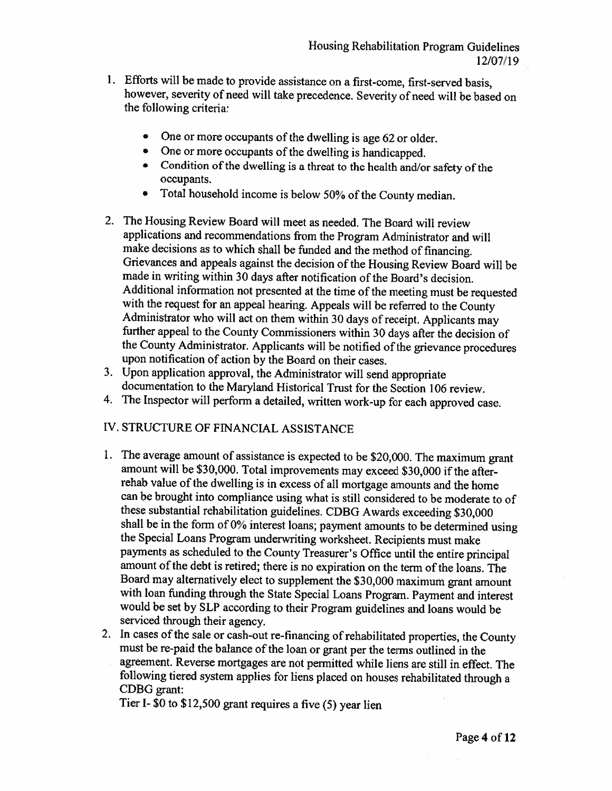- 1. Efforts will be made to provide assistance on a first-come, first-served basis, however, severity of need will take precedence. Severity of need will be based on the following criteria:
	- One or more occupants of the dwelling is age 62 or older.  $\bullet$
	- One or more occupants of the dwelling is handicapped.
	- Condition of the dwelling is a threat to the health and/or safety of the occupants.
	- Total household income is below 50% of the County median.  $\bullet$
- 2. The Housing Review Board will meet as needed. The Board will review applications and recommendations from the Program Administrator and will make decisions as to which shall be funded and the method of financing. Grievances and appeals against the decision of the Housing Review Board will be made in writing within 30 days after notification of the Board's decision. Additional information not presented at the time of the meeting must be requested with the request for an appeal hearing. Appeals will be referred to the County Administrator who will act on them within 30 days of receipt. Applicants may further appeal to the County Commissioners within 30 days after the decision of the County Administrator. Applicants will be notified of the grievance procedures upon notification of action by the Board on their cases.
- 3. Upon application approval, the Administrator will send appropriate documentation to the Maryland Historical Trust for the Section 106 review.
- 4. The Inspector will perform a detailed, written work-up for each approved case.

## IV. STRUCTURE OF FINANCIAL ASSISTANCE

- 1. The average amount of assistance is expected to be \$20,000. The maximum grant amount will be \$30,000. Total improvements may exceed \$30,000 if the afterrehab value of the dwelling is in excess of all mortgage amounts and the home can be brought into compliance using what is still considered to be moderate to of these substantial rehabilitation guidelines. CDBG Awards exceeding \$30,000 shall be in the form of 0% interest loans; payment amounts to be determined using the Special Loans Program underwriting worksheet. Recipients must make payments as scheduled to the County Treasurer's Office until the entire principal amount of the debt is retired; there is no expiration on the term of the loans. The Board may alternatively elect to supplement the \$30,000 maximum grant amount with loan funding through the State Special Loans Program. Payment and interest would be set by SLP according to their Program guidelines and loans would be serviced through their agency.
- 2. In cases of the sale or cash-out re-financing of rehabilitated properties, the County must be re-paid the balance of the loan or grant per the terms outlined in the agreement. Reverse mortgages are not permitted while liens are still in effect. The following tiered system applies for liens placed on houses rehabilitated through a CDBG grant:

Tier I- \$0 to \$12,500 grant requires a five (5) year lien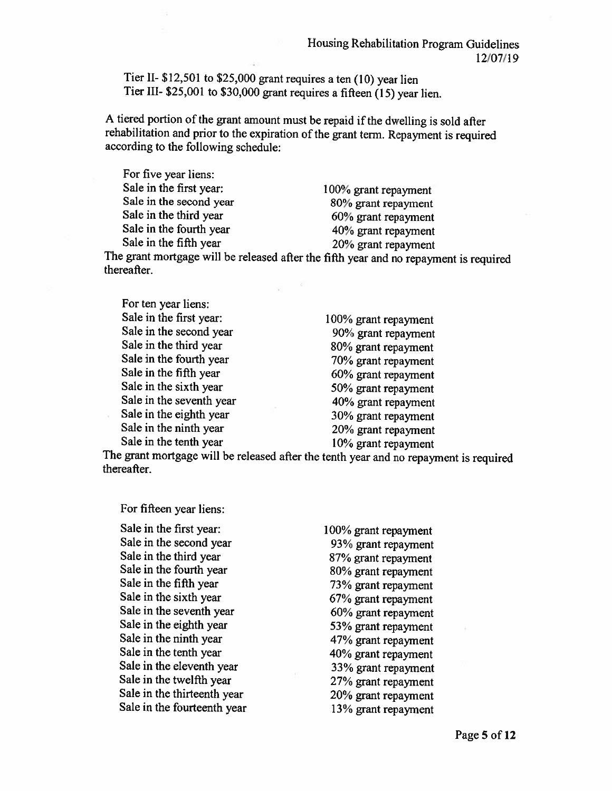Tier II- \$12,501 to \$25,000 grant requires a ten (10) year lien Tier III- \$25,001 to \$30,000 grant requires a fifteen (15) year lien.

A tiered portion of the grant amount must be repaid if the dwelling is sold after rehabilitation and prior to the expiration of the grant term. Repayment is required according to the following schedule:

For five year liens: Sale in the first year: Sale in the second year Sale in the third year Sale in the fourth year Sale in the fifth year

100% grant repayment 80% grant repayment 60% grant repayment 40% grant repayment 20% grant repayment

The grant mortgage will be released after the fifth year and no repayment is required thereafter.

| For ten year liens:      |                      |
|--------------------------|----------------------|
| Sale in the first year:  | 100% grant repayment |
| Sale in the second year  | 90% grant repayment  |
| Sale in the third year   | 80% grant repayment  |
| Sale in the fourth year  | 70% grant repayment  |
| Sale in the fifth year   | 60% grant repayment  |
| Sale in the sixth year   | 50% grant repayment  |
| Sale in the seventh year | 40% grant repayment  |
| Sale in the eighth year  | 30% grant repayment  |
| Sale in the ninth year   | 20% grant repayment  |
| Sale in the tenth year   | 10% grant repayment  |

The grant mortgage will be released after the tenth year and no repayment is required thereafter.

For fifteen year liens:

Sale in the first year: Sale in the second year Sale in the third year Sale in the fourth year Sale in the fifth year Sale in the sixth year Sale in the seventh year Sale in the eighth year Sale in the ninth year Sale in the tenth year Sale in the eleventh year Sale in the twelfth year Sale in the thirteenth year Sale in the fourteenth year

100% grant repayment 93% grant repayment 87% grant repayment 80% grant repayment 73% grant repayment 67% grant repayment 60% grant repayment 53% grant repayment 47% grant repayment 40% grant repayment 33% grant repayment 27% grant repayment 20% grant repayment 13% grant repayment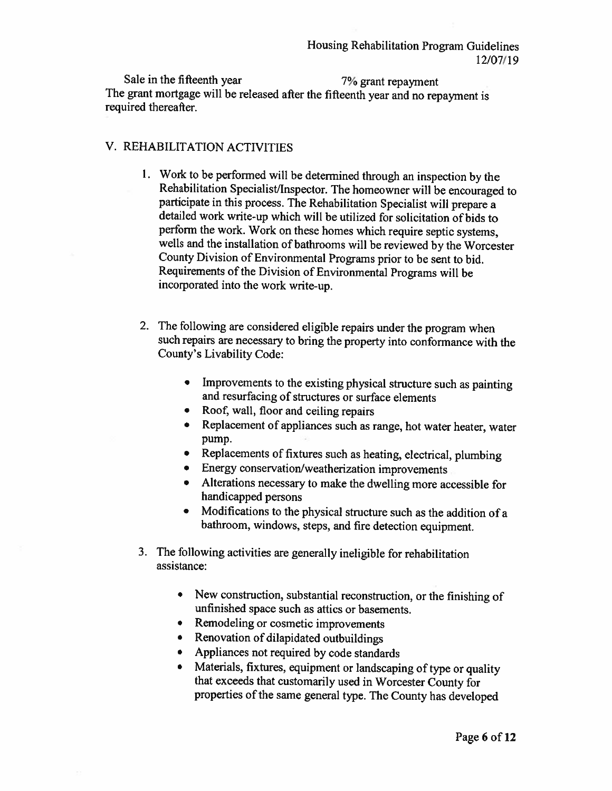Sale in the fifteenth year 7% grant repayment The grant mortgage will be released after the fifteenth year and no repayment is required thereafter.

#### V. REHABILITATION ACTIVITIES

- 1. Work to be performed will be determined through an inspection by the Rehabilitation Specialist/Inspector. The homeowner will be encouraged to participate in this process. The Rehabilitation Specialist will prepare a detailed work write-up which will be utilized for solicitation of bids to perform the work. Work on these homes which require septic systems, wells and the installation of bathrooms will be reviewed by the Worcester County Division of Environmental Programs prior to be sent to bid. Requirements of the Division of Environmental Programs will be incorporated into the work write-up.
- 2. The following are considered eligible repairs under the program when such repairs are necessary to bring the property into conformance with the County's Livability Code:
	- Improvements to the existing physical structure such as painting and resurfacing of structures or surface elements
	- Roof, wall, floor and ceiling repairs
	- Replacement of appliances such as range, hot water heater, water pump.
	- Replacements of fixtures such as heating, electrical, plumbing
	- Energy conservation/weatherization improvements
	- Alterations necessary to make the dwelling more accessible for handicapped persons
	- Modifications to the physical structure such as the addition of a bathroom, windows, steps, and fire detection equipment.
- 3. The following activities are generally ineligible for rehabilitation assistance:
	- New construction, substantial reconstruction, or the finishing of unfinished space such as attics or basements.
	- Remodeling or cosmetic improvements  $\bullet$
	- Renovation of dilapidated outbuildings  $\bullet$
	- Appliances not required by code standards
	- Materials, fixtures, equipment or landscaping of type or quality that exceeds that customarily used in Worcester County for properties of the same general type. The County has developed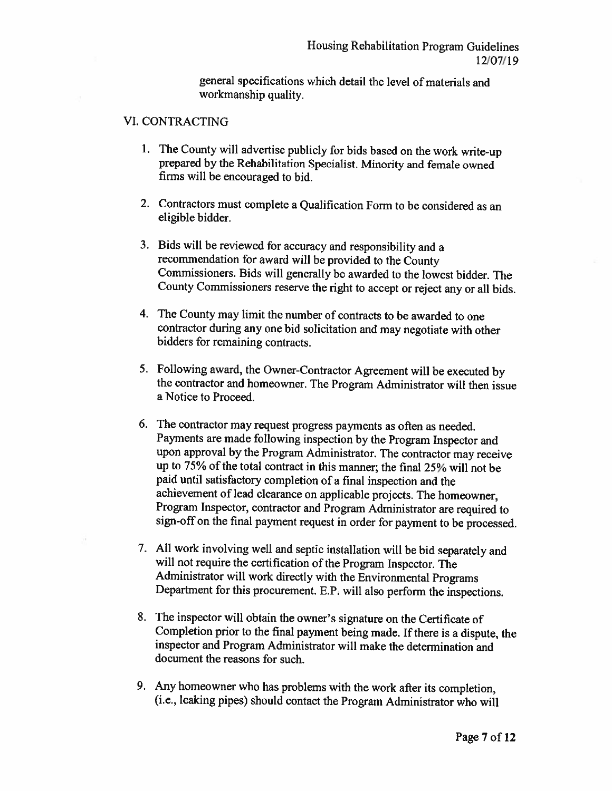general specifications which detail the level of materials and workmanship quality.

#### **VI. CONTRACTING**

- 1. The County will advertise publicly for bids based on the work write-up prepared by the Rehabilitation Specialist. Minority and female owned firms will be encouraged to bid.
- 2. Contractors must complete a Qualification Form to be considered as an eligible bidder.
- 3. Bids will be reviewed for accuracy and responsibility and a recommendation for award will be provided to the County Commissioners. Bids will generally be awarded to the lowest bidder. The County Commissioners reserve the right to accept or reject any or all bids.
- 4. The County may limit the number of contracts to be awarded to one contractor during any one bid solicitation and may negotiate with other bidders for remaining contracts.
- 5. Following award, the Owner-Contractor Agreement will be executed by the contractor and homeowner. The Program Administrator will then issue a Notice to Proceed.
- 6. The contractor may request progress payments as often as needed. Payments are made following inspection by the Program Inspector and upon approval by the Program Administrator. The contractor may receive up to 75% of the total contract in this manner; the final 25% will not be paid until satisfactory completion of a final inspection and the achievement of lead clearance on applicable projects. The homeowner, Program Inspector, contractor and Program Administrator are required to sign-off on the final payment request in order for payment to be processed.
- 7. All work involving well and septic installation will be bid separately and will not require the certification of the Program Inspector. The Administrator will work directly with the Environmental Programs Department for this procurement. E.P. will also perform the inspections.
- 8. The inspector will obtain the owner's signature on the Certificate of Completion prior to the final payment being made. If there is a dispute, the inspector and Program Administrator will make the determination and document the reasons for such.
- 9. Any homeowner who has problems with the work after its completion, (i.e., leaking pipes) should contact the Program Administrator who will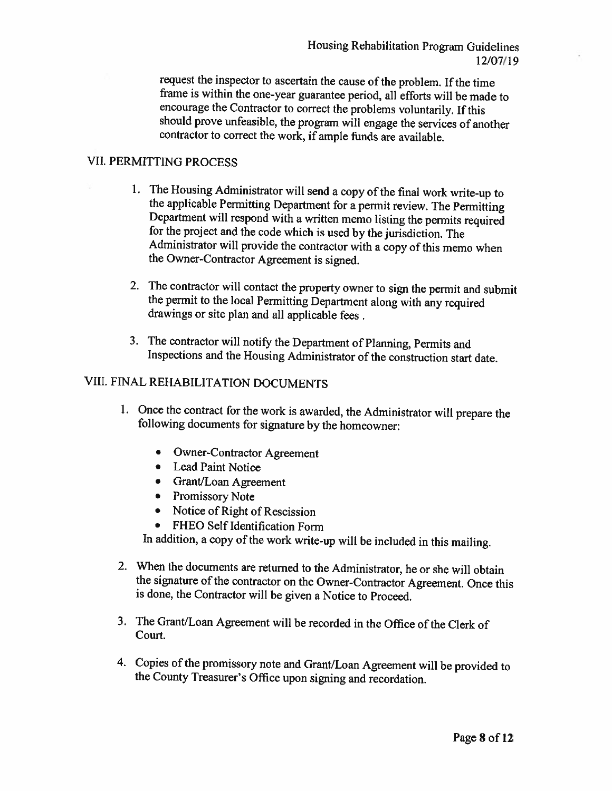request the inspector to ascertain the cause of the problem. If the time frame is within the one-year guarantee period, all efforts will be made to encourage the Contractor to correct the problems voluntarily. If this should prove unfeasible, the program will engage the services of another contractor to correct the work, if ample funds are available.

#### **VII. PERMITTING PROCESS**

- 1. The Housing Administrator will send a copy of the final work write-up to the applicable Permitting Department for a permit review. The Permitting Department will respond with a written memo listing the permits required for the project and the code which is used by the jurisdiction. The Administrator will provide the contractor with a copy of this memo when the Owner-Contractor Agreement is signed.
- 2. The contractor will contact the property owner to sign the permit and submit the permit to the local Permitting Department along with any required drawings or site plan and all applicable fees.
- 3. The contractor will notify the Department of Planning, Permits and Inspections and the Housing Administrator of the construction start date.

## VIII. FINAL REHABILITATION DOCUMENTS

- 1. Once the contract for the work is awarded, the Administrator will prepare the following documents for signature by the homeowner:
	- Owner-Contractor Agreement
	- Lead Paint Notice
	- Grant/Loan Agreement
	- Promissory Note
	- Notice of Right of Rescission
	- FHEO Self Identification Form

In addition, a copy of the work write-up will be included in this mailing.

- 2. When the documents are returned to the Administrator, he or she will obtain the signature of the contractor on the Owner-Contractor Agreement. Once this is done, the Contractor will be given a Notice to Proceed.
- 3. The Grant/Loan Agreement will be recorded in the Office of the Clerk of Court.
- 4. Copies of the promissory note and Grant/Loan Agreement will be provided to the County Treasurer's Office upon signing and recordation.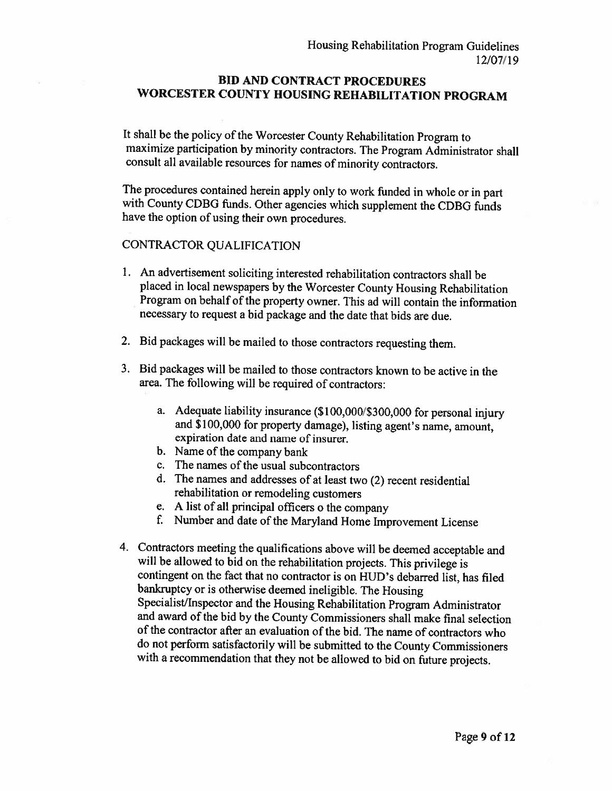#### **BID AND CONTRACT PROCEDURES** WORCESTER COUNTY HOUSING REHABILITATION PROGRAM

It shall be the policy of the Worcester County Rehabilitation Program to maximize participation by minority contractors. The Program Administrator shall consult all available resources for names of minority contractors.

The procedures contained herein apply only to work funded in whole or in part with County CDBG funds. Other agencies which supplement the CDBG funds have the option of using their own procedures.

#### CONTRACTOR QUALIFICATION

- 1. An advertisement soliciting interested rehabilitation contractors shall be placed in local newspapers by the Worcester County Housing Rehabilitation Program on behalf of the property owner. This ad will contain the information necessary to request a bid package and the date that bids are due.
- 2. Bid packages will be mailed to those contractors requesting them.
- 3. Bid packages will be mailed to those contractors known to be active in the area. The following will be required of contractors:
	- a. Adequate liability insurance (\$100,000/\$300,000 for personal injury and \$100,000 for property damage), listing agent's name, amount, expiration date and name of insurer.
	- b. Name of the company bank
	- c. The names of the usual subcontractors
	- d. The names and addresses of at least two (2) recent residential rehabilitation or remodeling customers
	- e. A list of all principal officers o the company
	- f. Number and date of the Maryland Home Improvement License
- 4. Contractors meeting the qualifications above will be deemed acceptable and will be allowed to bid on the rehabilitation projects. This privilege is contingent on the fact that no contractor is on HUD's debarred list, has filed bankruptcy or is otherwise deemed ineligible. The Housing Specialist/Inspector and the Housing Rehabilitation Program Administrator and award of the bid by the County Commissioners shall make final selection of the contractor after an evaluation of the bid. The name of contractors who do not perform satisfactorily will be submitted to the County Commissioners with a recommendation that they not be allowed to bid on future projects.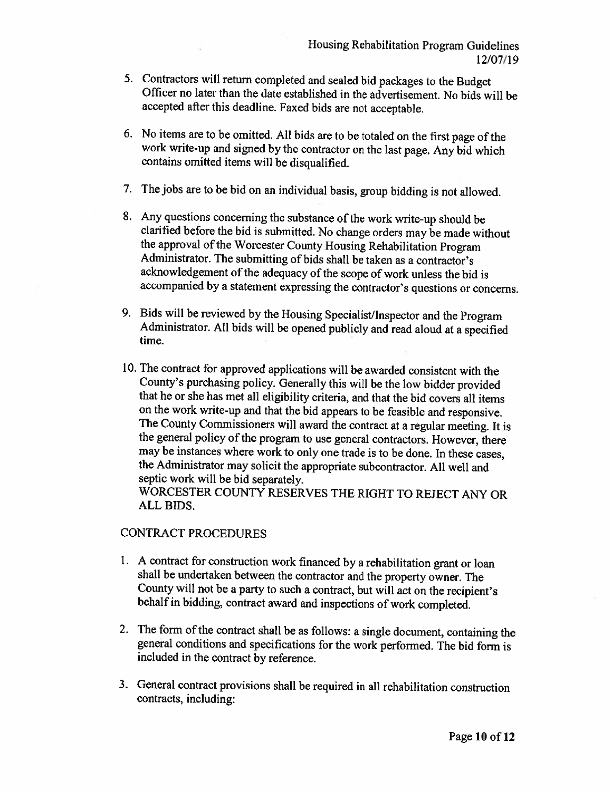- 5. Contractors will return completed and sealed bid packages to the Budget Officer no later than the date established in the advertisement. No bids will be accepted after this deadline. Faxed bids are not acceptable.
- 6. No items are to be omitted. All bids are to be totaled on the first page of the work write-up and signed by the contractor on the last page. Any bid which contains omitted items will be disqualified.
- 7. The jobs are to be bid on an individual basis, group bidding is not allowed.
- 8. Any questions concerning the substance of the work write-up should be clarified before the bid is submitted. No change orders may be made without the approval of the Worcester County Housing Rehabilitation Program Administrator. The submitting of bids shall be taken as a contractor's acknowledgement of the adequacy of the scope of work unless the bid is accompanied by a statement expressing the contractor's questions or concerns.
- 9. Bids will be reviewed by the Housing Specialist/Inspector and the Program Administrator. All bids will be opened publicly and read aloud at a specified time.
- 10. The contract for approved applications will be awarded consistent with the County's purchasing policy. Generally this will be the low bidder provided that he or she has met all eligibility criteria, and that the bid covers all items on the work write-up and that the bid appears to be feasible and responsive. The County Commissioners will award the contract at a regular meeting. It is the general policy of the program to use general contractors. However, there may be instances where work to only one trade is to be done. In these cases, the Administrator may solicit the appropriate subcontractor. All well and septic work will be bid separately. WORCESTER COUNTY RESERVES THE RIGHT TO REJECT ANY OR

### **CONTRACT PROCEDURES**

ALL BIDS.

- 1. A contract for construction work financed by a rehabilitation grant or loan shall be undertaken between the contractor and the property owner. The County will not be a party to such a contract, but will act on the recipient's behalf in bidding, contract award and inspections of work completed.
- 2. The form of the contract shall be as follows: a single document, containing the general conditions and specifications for the work performed. The bid form is included in the contract by reference.
- 3. General contract provisions shall be required in all rehabilitation construction contracts, including: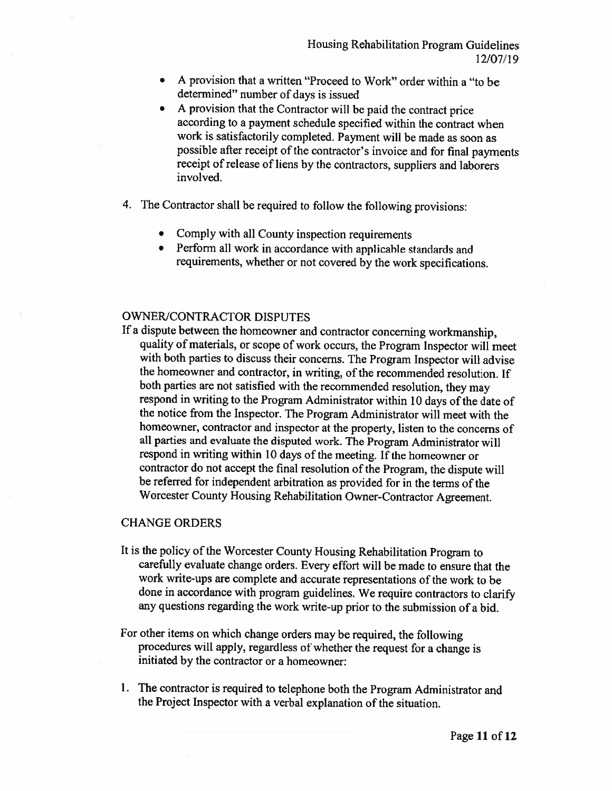- A provision that a written "Proceed to Work" order within a "to be determined" number of days is issued
- A provision that the Contractor will be paid the contract price  $\bullet$ according to a payment schedule specified within the contract when work is satisfactorily completed. Payment will be made as soon as possible after receipt of the contractor's invoice and for final payments receipt of release of liens by the contractors, suppliers and laborers involved.
- 4. The Contractor shall be required to follow the following provisions:
	- Comply with all County inspection requirements
	- Perform all work in accordance with applicable standards and requirements, whether or not covered by the work specifications.

#### **OWNER/CONTRACTOR DISPUTES**

If a dispute between the homeowner and contractor concerning workmanship, quality of materials, or scope of work occurs, the Program Inspector will meet with both parties to discuss their concerns. The Program Inspector will advise the homeowner and contractor, in writing, of the recommended resolution. If both parties are not satisfied with the recommended resolution, they may respond in writing to the Program Administrator within 10 days of the date of the notice from the Inspector. The Program Administrator will meet with the homeowner, contractor and inspector at the property, listen to the concerns of all parties and evaluate the disputed work. The Program Administrator will respond in writing within 10 days of the meeting. If the homeowner or contractor do not accept the final resolution of the Program, the dispute will be referred for independent arbitration as provided for in the terms of the Worcester County Housing Rehabilitation Owner-Contractor Agreement.

#### **CHANGE ORDERS**

- It is the policy of the Worcester County Housing Rehabilitation Program to carefully evaluate change orders. Every effort will be made to ensure that the work write-ups are complete and accurate representations of the work to be done in accordance with program guidelines. We require contractors to clarify any questions regarding the work write-up prior to the submission of a bid.
- For other items on which change orders may be required, the following procedures will apply, regardless of whether the request for a change is initiated by the contractor or a homeowner:
- 1. The contractor is required to telephone both the Program Administrator and the Project Inspector with a verbal explanation of the situation.